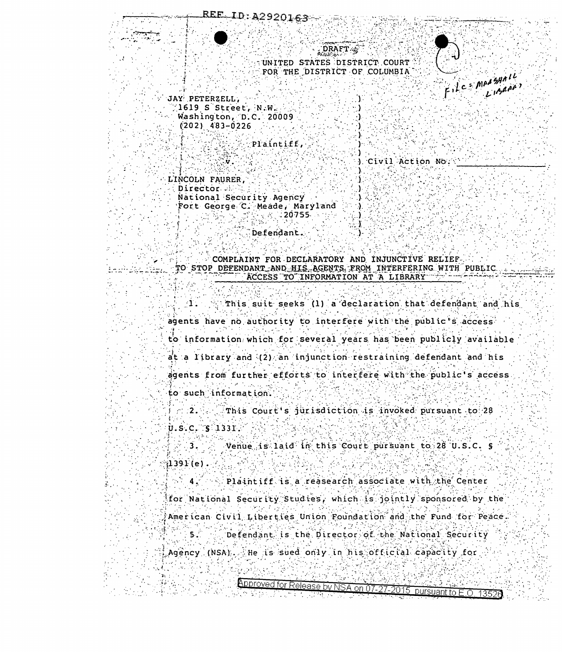**DRAFT** UNITED STATES DISTRICT COURT FOR THE DISTRICT OF COLUMBIA



JAY PETERZELL,  $1619$  S Street, N.W. Washington, D.C. 20009  $(202)$  483-0226

.v

Plaintiff.

) Civil Action No.

LINCOLN FAURER, Director ... National Security Agency Fort George C. Meade, Maryland  $\rightarrow$  8 20755  $\rightarrow$ 

Defendant.

COMPLAINT FOR DECLARATORY AND INJUNCTIVE RELIEF TO STOP DEFENDANT AND HIS AGENTS FROM INTERFERING WITH PUBLIC ACCESS TO INFORMATION AT A LIBRARY

This suit seeks (1) a declaration that defendant and his -11 agents have no authority to interfere with the public's access to information which for several years has been publicly available at a library and (2) an injunction restraining defendant and his agents from further efforts to interfere with the public's access. to such information.

 $\sim$  2.4  $\sim$ This Court's jurisdiction is invoked pursuant to 28  $U.S.C.$   $S'1331.$ 

Venue is laid in this Court pursuant to 28 U.S.C. S  $\overline{3}$ .  $(1391(e)$ .

Plaintiff is a reasearch associate with the Center  $4<sup>2</sup>$ for National Security Studies, which is jointly sponsored by the American Civil Liberties Union Foundation and the Fund for Peace.  $5<sup>2</sup>$ Defendant is the Director of the National Security

Agency (NSA), the is sued only in his official capacity for  $\mathbb{R}^n$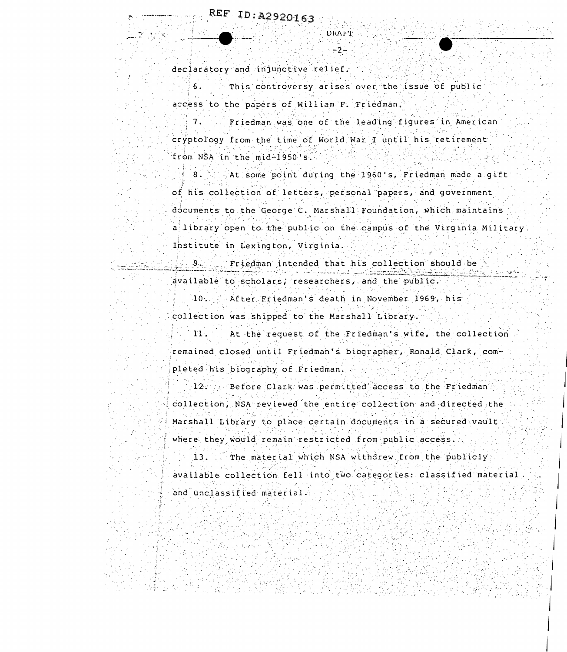declaratory and injunctive relief.

This controversy arises over the issue of public access to the papers of William F. Friedman.

 $7.$ Friedman was one of the leading figures in American cryptology from the time of World War I until his retirement from NSA in the mid-1950's.

**DRAFT** 

-2-

At some point during the 1960's, Friedman made a gift  $8<sub>1</sub>$ of his collection of letters, personal papers, and government documents to the George C. Marshall Foundation, which maintains a library open to the public on the campus of the Virginia Military. Institute in Lexington, Virginia.

Friedman intended that his collection should be 9. . . . . available to scholars, researchers, and the public.

> $10 -$ After Friedman's death in November 1969, his collection was shipped to the Marshall Library.

At the request of the Friedman's wife, the collection  $\blacksquare$  11.

remained closed until Friedman's biographer, Ronald Clark, completed his biography of Friedman.

12. J. Before Clark was permitted access to the Friedman h collection, NSA reviewed the entire collection and directed the Marshall Library to place certain documents in a secured vault where they would remain restricted from public access.

 $\sim$  13.  $\sim$  The material which NSA withdrew from the publicly. available collection fell into two categories: classified material and unclassified material.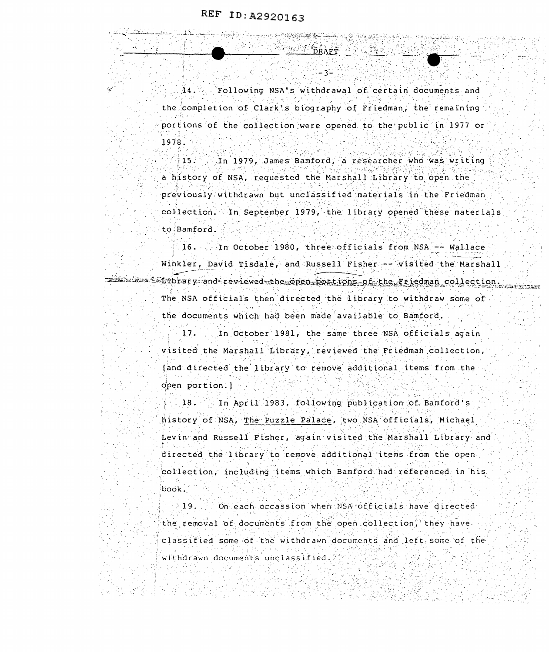Following NSA's withdrawal of certain documents and  $14.$ the completion of Clark's biography of Friedman, the remaining  $\epsilon$  portions of the collection were opened to the public in 1977 or 1978.

- २-

A SALE OF THE CONSTRUCTION OF THE CONTRACTOR **REPART DRAF** 

In 1979, James Bamford, a researcher who was writing  $15.$ a history of NSA, requested the Marshall Library to open the previously withdrawn but unclassified materials in the Friedman collection. In September 1979, the library opened these materials to Bamford.

16. In October 1980, three officials from NSA -- Wallace Winkler, David Tisdale, and Russell Fisher -- visited the Marshall seletime spibrary and reviewed the pen-portions of the Friedman collection. The NSA officials then directed the library to withdraw some of the documents which had been made available to Bamford.

> 17. In October 1981, the same three NSA officials again visited the Marshall Library, reviewed the Friedman collection, [and directed the library to remove additional items from the open portion.]

In April 1983, following publication of Bamford's  $18.$ history of NSA, The Puzzle Palace, two NSA officials, Michael Levin and Russell Fisher, again visited the Marshall Library and directed the library to remove additional items from the open collection, including items which Bamford had referenced in his book.

On each occassion when NSA officials have directed 19. the removal of documents from the open collection, they have classified some of the withdrawn documents and left some of the withdrawn documents unclassified.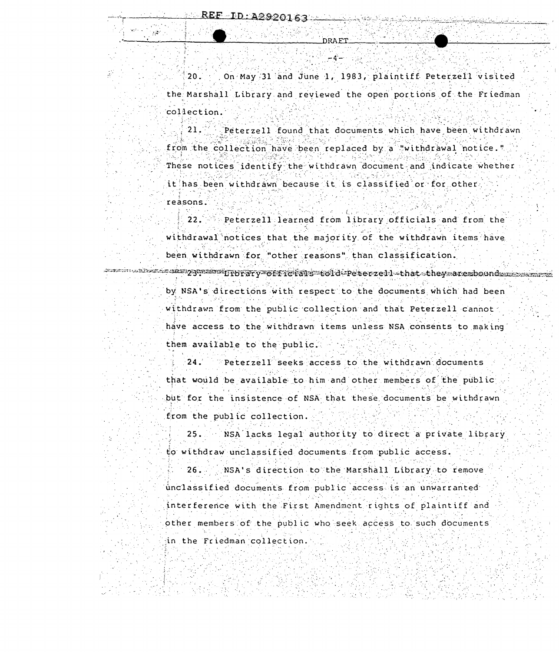$20.$ On May 31 and June 1, 1983, plaintiff Peterzell visited the Marshall Library and reviewed the open portions of the Friedman collection.

Peterzell found that documents which have been withdrawn 21. from the collection have been replaced by a "withdrawal notice." These notices identify the withdrawn document and indicate whether it has been withdrawn because it is classified or for other reasons.

 $22.7$ Peterzell learned from library officials and from the withdrawal notices that the majority of the withdrawn items have been withdrawn for "other reasons" than classification.

russinus absolundssuperation in BFAPy of fraiss to idepete rzell sthat stheysaresboundssuperse by NSA's directions with respect to the documents which had been withdrawn from the public collection and that Peterzell cannot have access to the withdrawn items unless NSA consents to making

them available to the public.

 $24.$ Peterzell seeks access to the withdrawn documents that would be available to him and other members of the public but for the insistence of NSA that these documents be withdrawn from the public collection.

NSA lacks legal authority to direct a private library  $25.$ to withdraw unclassified documents from public access.

NSA's direction to the Marshall Library to remove  $26.$ 

unclassified documents from public access is an unwarranted

interference with the First Amendment rights of plaintiff and other members of the public who seek access to such documents

in the Friedman collection.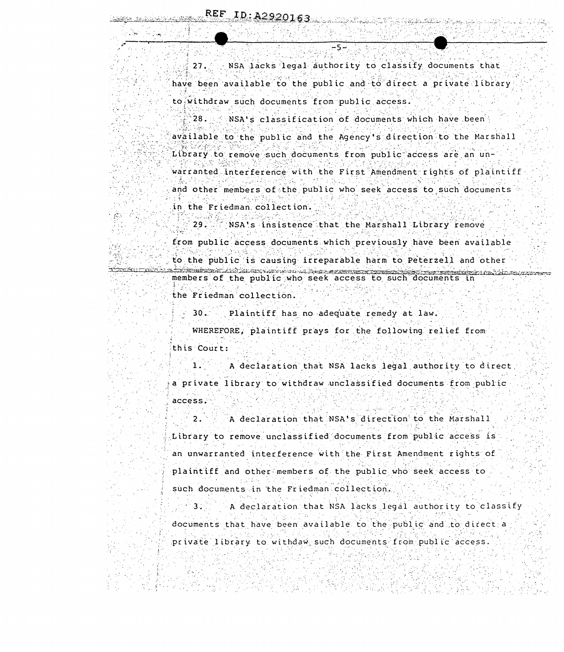NSA lacks legal authority to classify documents that  $27.$ have been available to the public and to direct a private library to withdraw such documents from public access.

28. NSA's classification of documents which have been available to the public and the Agency's direction to the Marshall Library to remove such documents from public access are an unwarranted interference with the First Amendment rights of plaintiff and other members of the public who seek access to such documents in the Friedman collection.

NSA's insistence that the Marshall Library remove  $29.$ 

from public access documents which previously have been available to the public is causing irreparable harm to Peterzell and other prešidini da bol dibolite domo 2012 pozna di programati di prezidi members of the public who seek access to such documents in the Friedman collection.

> $30.1$ Plaintiff has no adequate remedy at law.

WHEREFORE, plaintiff prays for the following relief from this Court:

A declaration that NSA lacks legal authority to direct a private library to withdraw unclassified documents from public access.

A declaration that NSA's direction to the Marshall  $2.$ Library to remove unclassified documents from public access is an unwarranted interference with the First Amendment rights of plaintiff and other members of the public who seek access to such documents in the Friedman collection.

A declaration that NSA lacks legal authority to classify  $3.$ documents that have been available to the public and to direct a private library to withdaw such documents from public access.